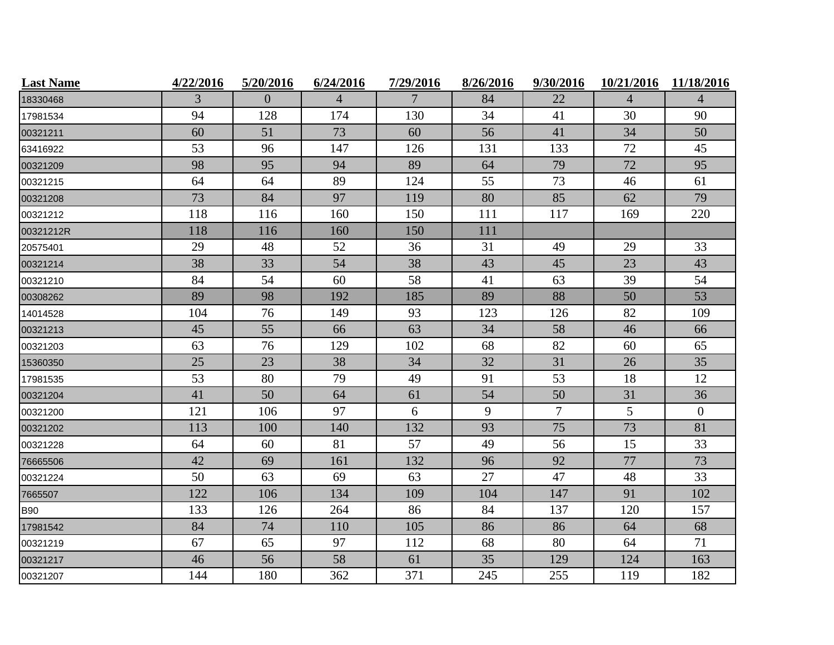| <b>Last Name</b> | 4/22/2016 | 5/20/2016 | 6/24/2016      | 7/29/2016 | 8/26/2016 | 9/30/2016                | 10/21/2016 | 11/18/2016     |
|------------------|-----------|-----------|----------------|-----------|-----------|--------------------------|------------|----------------|
| 18330468         | 3         | $\Omega$  | $\overline{4}$ | 7         | 84        | 22                       | 4          | $\overline{4}$ |
| 17981534         | 94        | 128       | 174            | 130       | 34        | 41                       | 30         | 90             |
| 00321211         | 60        | 51        | 73             | 60        | 56        | 41                       | 34         | 50             |
| 63416922         | 53        | 96        | 147            | 126       | 131       | 133                      | 72         | 45             |
| 00321209         | 98        | 95        | 94             | 89        | 64        | 79                       | 72         | 95             |
| 00321215         | 64        | 64        | 89             | 124       | 55        | 73                       | 46         | 61             |
| 00321208         | 73        | 84        | 97             | 119       | 80        | 85                       | 62         | 79             |
| 00321212         | 118       | 116       | 160            | 150       | 111       | 117                      | 169        | 220            |
| 00321212R        | 118       | 116       | 160            | 150       | 111       |                          |            |                |
| 20575401         | 29        | 48        | 52             | 36        | 31        | 49                       | 29         | 33             |
| 00321214         | 38        | 33        | 54             | 38        | 43        | 45                       | 23         | 43             |
| 00321210         | 84        | 54        | 60             | 58        | 41        | 63                       | 39         | 54             |
| 00308262         | 89        | 98        | 192            | 185       | 89        | 88                       | 50         | 53             |
| 14014528         | 104       | 76        | 149            | 93        | 123       | 126                      | 82         | 109            |
| 00321213         | 45        | 55        | 66             | 63        | 34        | 58                       | 46         | 66             |
| 00321203         | 63        | 76        | 129            | 102       | 68        | 82                       | 60         | 65             |
| 15360350         | 25        | 23        | 38             | 34        | 32        | 31                       | 26         | 35             |
| 17981535         | 53        | 80        | 79             | 49        | 91        | 53                       | 18         | 12             |
| 00321204         | 41        | 50        | 64             | 61        | 54        | 50                       | 31         | 36             |
| 00321200         | 121       | 106       | 97             | 6         | 9         | $\overline{\mathcal{L}}$ | 5          | $\overline{0}$ |
| 00321202         | 113       | 100       | 140            | 132       | 93        | 75                       | 73         | 81             |
| 00321228         | 64        | 60        | 81             | 57        | 49        | 56                       | 15         | 33             |
| 76665506         | 42        | 69        | 161            | 132       | 96        | 92                       | 77         | 73             |
| 00321224         | 50        | 63        | 69             | 63        | 27        | 47                       | 48         | 33             |
| 7665507          | 122       | 106       | 134            | 109       | 104       | 147                      | 91         | 102            |
| <b>B90</b>       | 133       | 126       | 264            | 86        | 84        | 137                      | 120        | 157            |
| 17981542         | 84        | 74        | 110            | 105       | 86        | 86                       | 64         | 68             |
| 00321219         | 67        | 65        | 97             | 112       | 68        | 80                       | 64         | 71             |
| 00321217         | 46        | 56        | 58             | 61        | 35        | 129                      | 124        | 163            |
| 00321207         | 144       | 180       | 362            | 371       | 245       | 255                      | 119        | 182            |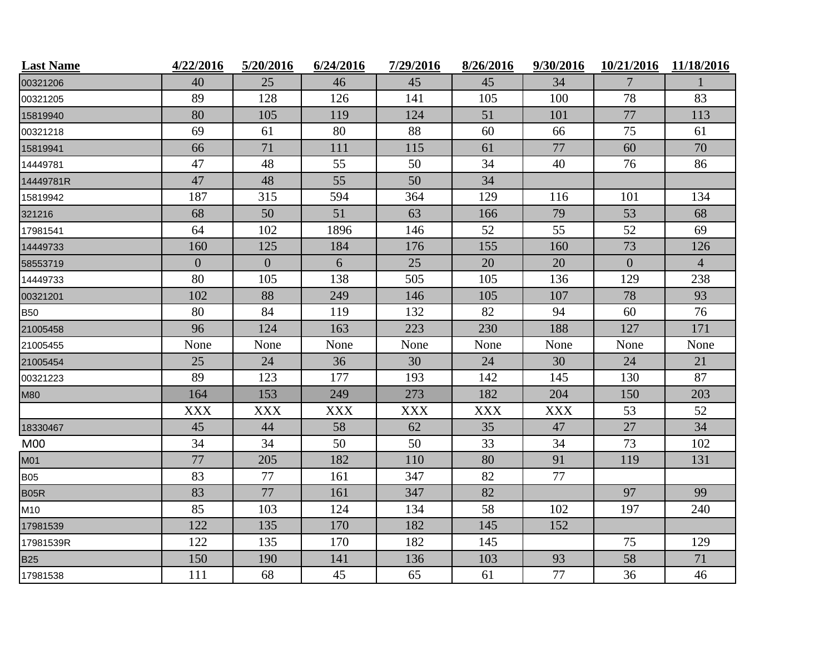| <b>Last Name</b> | 4/22/2016      | 5/20/2016      | 6/24/2016  | 7/29/2016  | 8/26/2016  | 9/30/2016  | 10/21/2016     | 11/18/2016     |
|------------------|----------------|----------------|------------|------------|------------|------------|----------------|----------------|
| 00321206         | 40             | 25             | 46         | 45         | 45         | 34         | 7              |                |
| 00321205         | 89             | 128            | 126        | 141        | 105        | 100        | 78             | 83             |
| 15819940         | 80             | 105            | 119        | 124        | 51         | 101        | 77             | 113            |
| 00321218         | 69             | 61             | 80         | 88         | 60         | 66         | 75             | 61             |
| 15819941         | 66             | 71             | 111        | 115        | 61         | 77         | 60             | 70             |
| 14449781         | 47             | 48             | 55         | 50         | 34         | 40         | 76             | 86             |
| 14449781R        | 47             | 48             | 55         | 50         | 34         |            |                |                |
| 15819942         | 187            | 315            | 594        | 364        | 129        | 116        | 101            | 134            |
| 321216           | 68             | 50             | 51         | 63         | 166        | 79         | 53             | 68             |
| 17981541         | 64             | 102            | 1896       | 146        | 52         | 55         | 52             | 69             |
| 14449733         | 160            | 125            | 184        | 176        | 155        | 160        | 73             | 126            |
| 58553719         | $\overline{0}$ | $\overline{0}$ | 6          | 25         | 20         | 20         | $\overline{0}$ | $\overline{4}$ |
| 14449733         | 80             | 105            | 138        | 505        | 105        | 136        | 129            | 238            |
| 00321201         | 102            | 88             | 249        | 146        | 105        | 107        | 78             | 93             |
| <b>B50</b>       | 80             | 84             | 119        | 132        | 82         | 94         | 60             | 76             |
| 21005458         | 96             | 124            | 163        | 223        | 230        | 188        | 127            | 171            |
| 21005455         | None           | None           | None       | None       | None       | None       | None           | None           |
| 21005454         | 25             | 24             | 36         | 30         | 24         | 30         | 24             | 21             |
| 00321223         | 89             | 123            | 177        | 193        | 142        | 145        | 130            | 87             |
| <b>M80</b>       | 164            | 153            | 249        | 273        | 182        | 204        | 150            | 203            |
|                  | <b>XXX</b>     | <b>XXX</b>     | <b>XXX</b> | <b>XXX</b> | <b>XXX</b> | <b>XXX</b> | 53             | 52             |
| 18330467         | 45             | 44             | 58         | 62         | 35         | 47         | 27             | 34             |
| M <sub>00</sub>  | 34             | 34             | 50         | 50         | 33         | 34         | 73             | 102            |
| <b>M01</b>       | 77             | 205            | 182        | 110        | 80         | 91         | 119            | 131            |
| <b>B05</b>       | 83             | 77             | 161        | 347        | 82         | 77         |                |                |
| <b>B05R</b>      | 83             | 77             | 161        | 347        | 82         |            | 97             | 99             |
| M10              | 85             | 103            | 124        | 134        | 58         | 102        | 197            | 240            |
| 17981539         | 122            | 135            | 170        | 182        | 145        | 152        |                |                |
| 17981539R        | 122            | 135            | 170        | 182        | 145        |            | 75             | 129            |
| <b>B25</b>       | 150            | 190            | 141        | 136        | 103        | 93         | 58             | 71             |
| 17981538         | 111            | 68             | 45         | 65         | 61         | 77         | 36             | 46             |